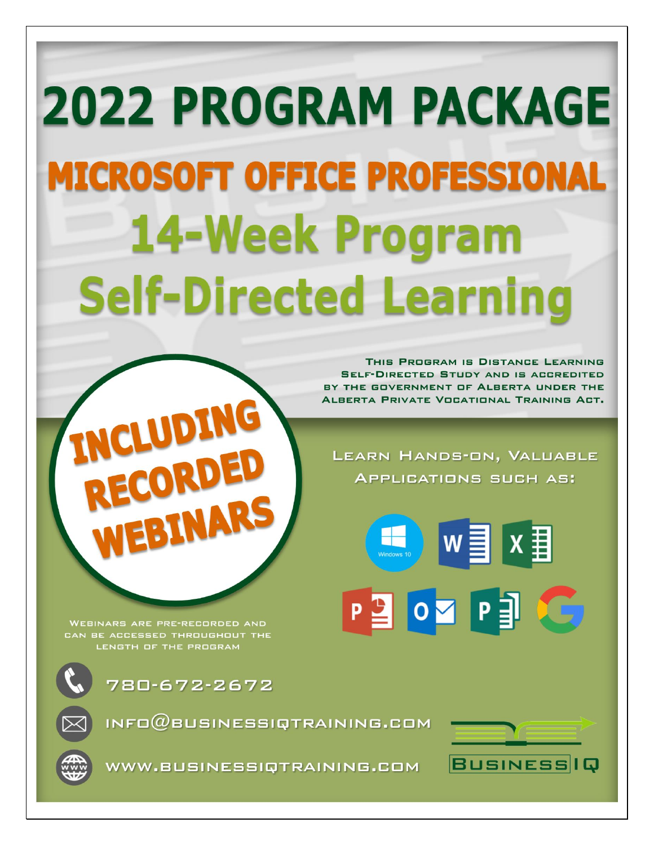# **2022 PROGRAM PACKAGE MICROSOFT OFFICE PROFESSIONAL 14-Week Program Self-Directed Learning**

THIS PROGRAM IS DISTANCE LEARNING **SELF-DIRECTED STUDY AND IS ACCREDITED** BY THE GOVERNMENT OF ALBERTA UNDER THE ALBERTA PRIVATE VOCATIONAL TRAINING ACT.

LEARN HANDS-ON, VALUABLE **APPLICATIONS SUCH AS:** 

P SO P S

**WEBINARS ARE PRE-RECORDED AND** <u>CAN BE ACCESSED THROUGHOUT THE</u> LENGTH OF THE PROGRAM



780-672-2672

LUDING

INFO $@$ BUSINESSIQTRAINING.COM



 $x \equiv$ 

**DG** 



WWW.BUSINESSIQTRAINING.COM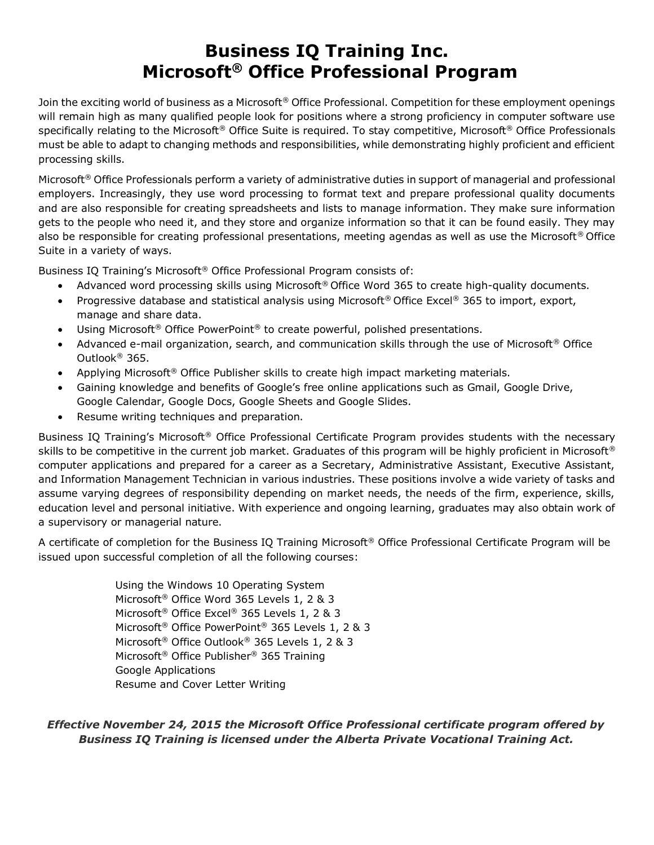# **Business IQ Training Inc. Microsoft® Office Professional Program**

Join the exciting world of business as a Microsoft<sup>®</sup> Office Professional. Competition for these employment openings will remain high as many qualified people look for positions where a strong proficiency in computer software use specifically relating to the Microsoft<sup>®</sup> Office Suite is required. To stay competitive, Microsoft<sup>®</sup> Office Professionals must be able to adapt to changing methods and responsibilities, while demonstrating highly proficient and efficient processing skills.

Microsoft<sup>®</sup> Office Professionals perform a variety of administrative duties in support of managerial and professional employers. Increasingly, they use word processing to format text and prepare professional quality documents and are also responsible for creating spreadsheets and lists to manage information. They make sure information gets to the people who need it, and they store and organize information so that it can be found easily. They may also be responsible for creating professional presentations, meeting agendas as well as use the Microsoft® Office Suite in a variety of ways.

Business IQ Training's Microsoft® Office Professional Program consists of:

- Advanced word processing skills using Microsoft® Office Word 365 to create high-quality documents.
- Progressive database and statistical analysis using Microsoft® Office Excel® 365 to import, export, manage and share data.
- Using Microsoft<sup>®</sup> Office PowerPoint<sup>®</sup> to create powerful, polished presentations.
- Advanced e-mail organization, search, and communication skills through the use of Microsoft<sup>®</sup> Office Outlook® 365.
- Applying Microsoft<sup>®</sup> Office Publisher skills to create high impact marketing materials.
- Gaining knowledge and benefits of Google's free online applications such as Gmail, Google Drive, Google Calendar, Google Docs, Google Sheets and Google Slides.
- Resume writing techniques and preparation.

Business IQ Training's Microsoft® Office Professional Certificate Program provides students with the necessary skills to be competitive in the current job market. Graduates of this program will be highly proficient in Microsoft® computer applications and prepared for a career as a Secretary, Administrative Assistant, Executive Assistant, and Information Management Technician in various industries. These positions involve a wide variety of tasks and assume varying degrees of responsibility depending on market needs, the needs of the firm, experience, skills, education level and personal initiative. With experience and ongoing learning, graduates may also obtain work of a supervisory or managerial nature.

A certificate of completion for the Business IQ Training Microsoft® Office Professional Certificate Program will be issued upon successful completion of all the following courses:

> Using the Windows 10 Operating System Microsoft® Office Word 365 Levels 1, 2 & 3 Microsoft® Office Excel® 365 Levels 1, 2 & 3 Microsoft® Office PowerPoint® 365 Levels 1, 2 & 3 Microsoft® Office Outlook® 365 Levels 1, 2 & 3 Microsoft® Office Publisher® 365 Training Google Applications Resume and Cover Letter Writing

*Effective November 24, 2015 the Microsoft Office Professional certificate program offered by Business IQ Training is licensed under the Alberta Private Vocational Training Act.*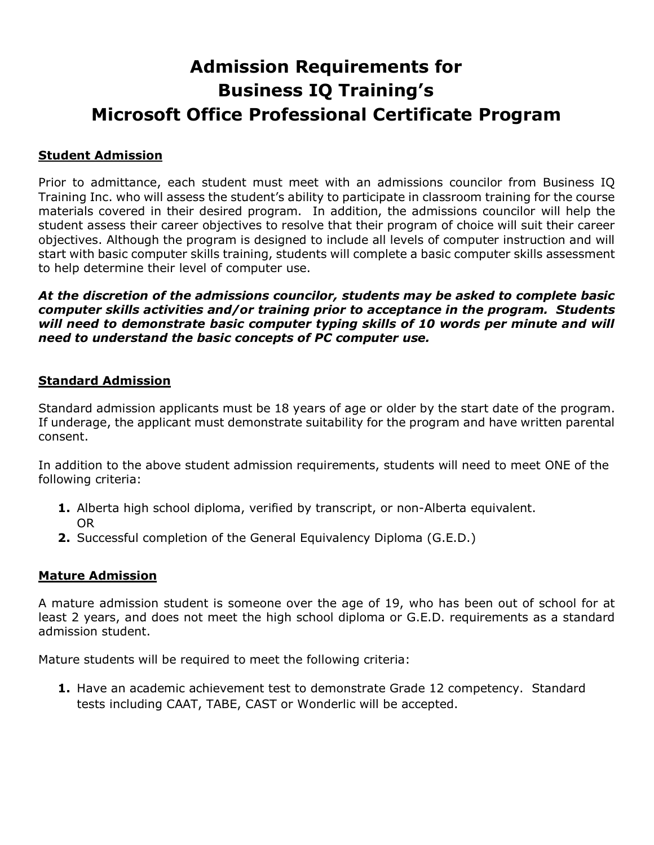# **Admission Requirements for Business IQ Training's Microsoft Office Professional Certificate Program**

### **Student Admission**

Prior to admittance, each student must meet with an admissions councilor from Business IQ Training Inc. who will assess the student's ability to participate in classroom training for the course materials covered in their desired program. In addition, the admissions councilor will help the student assess their career objectives to resolve that their program of choice will suit their career objectives. Although the program is designed to include all levels of computer instruction and will start with basic computer skills training, students will complete a basic computer skills assessment to help determine their level of computer use.

*At the discretion of the admissions councilor, students may be asked to complete basic computer skills activities and/or training prior to acceptance in the program. Students will need to demonstrate basic computer typing skills of 10 words per minute and will need to understand the basic concepts of PC computer use.*

#### **Standard Admission**

Standard admission applicants must be 18 years of age or older by the start date of the program. If underage, the applicant must demonstrate suitability for the program and have written parental consent.

In addition to the above student admission requirements, students will need to meet ONE of the following criteria:

- **1.** Alberta high school diploma, verified by transcript, or non-Alberta equivalent. OR
- **2.** Successful completion of the General Equivalency Diploma (G.E.D.)

#### **Mature Admission**

A mature admission student is someone over the age of 19, who has been out of school for at least 2 years, and does not meet the high school diploma or G.E.D. requirements as a standard admission student.

Mature students will be required to meet the following criteria:

**1.** Have an academic achievement test to demonstrate Grade 12 competency. Standard tests including CAAT, TABE, CAST or Wonderlic will be accepted.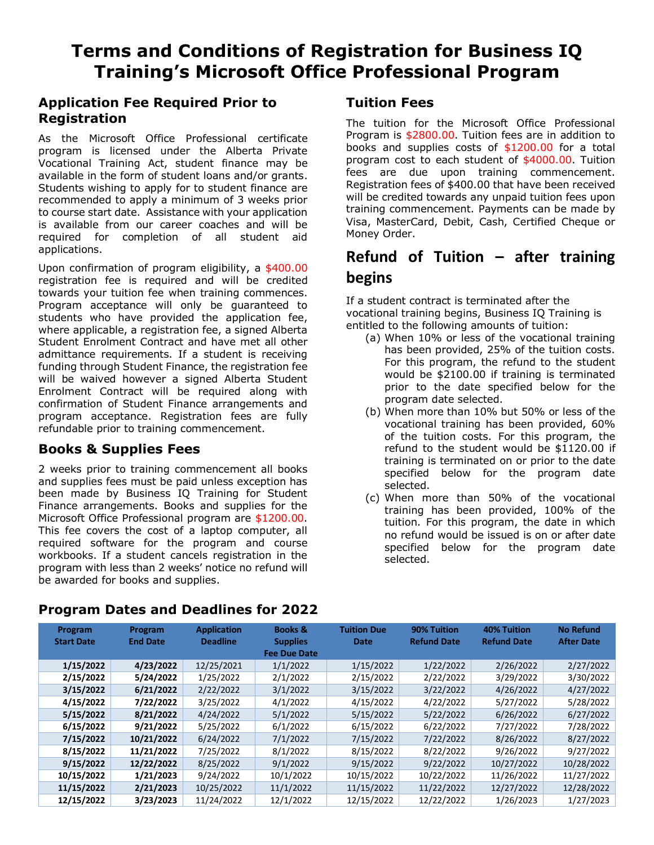# **Terms and Conditions of Registration for Business IQ Training's Microsoft Office Professional Program**

# **Application Fee Required Prior to Registration**

As the Microsoft Office Professional certificate program is licensed under the Alberta Private Vocational Training Act, student finance may be available in the form of student loans and/or grants. Students wishing to apply for to student finance are recommended to apply a minimum of 3 weeks prior to course start date. Assistance with your application is available from our career coaches and will be required for completion of all student aid applications.

Upon confirmation of program eligibility, a \$400.00 registration fee is required and will be credited towards your tuition fee when training commences. Program acceptance will only be guaranteed to students who have provided the application fee, where applicable, a registration fee, a signed Alberta Student Enrolment Contract and have met all other admittance requirements. If a student is receiving funding through Student Finance, the registration fee will be waived however a signed Alberta Student Enrolment Contract will be required along with confirmation of Student Finance arrangements and program acceptance. Registration fees are fully refundable prior to training commencement.

# **Books & Supplies Fees**

2 weeks prior to training commencement all books and supplies fees must be paid unless exception has been made by Business IQ Training for Student Finance arrangements. Books and supplies for the Microsoft Office Professional program are \$1200.00. This fee covers the cost of a laptop computer, all required software for the program and course workbooks. If a student cancels registration in the program with less than 2 weeks' notice no refund will be awarded for books and supplies.

# **Tuition Fees**

The tuition for the Microsoft Office Professional Program is \$2800.00. Tuition fees are in addition to books and supplies costs of \$1200.00 for a total program cost to each student of \$4000.00. Tuition fees are due upon training commencement. Registration fees of \$400.00 that have been received will be credited towards any unpaid tuition fees upon training commencement. Payments can be made by Visa, MasterCard, Debit, Cash, Certified Cheque or Money Order.

# **Refund of Tuition – after training begins**

If a student contract is terminated after the vocational training begins, Business IQ Training is entitled to the following amounts of tuition:

- (a) When 10% or less of the vocational training has been provided, 25% of the tuition costs. For this program, the refund to the student would be \$2100.00 if training is terminated prior to the date specified below for the program date selected.
- (b) When more than 10% but 50% or less of the vocational training has been provided, 60% of the tuition costs. For this program, the refund to the student would be \$1120.00 if training is terminated on or prior to the date specified below for the program date selected.
- (c) When more than 50% of the vocational training has been provided, 100% of the tuition. For this program, the date in which no refund would be issued is on or after date specified below for the program date selected.

| Program<br><b>Start Date</b> | Program<br><b>End Date</b> | <b>Application</b><br><b>Deadline</b> | <b>Books &amp;</b><br><b>Supplies</b><br><b>Fee Due Date</b> | <b>Tuition Due</b><br><b>Date</b> | 90% Tuition<br><b>Refund Date</b> | 40% Tuition<br><b>Refund Date</b> | <b>No Refund</b><br><b>After Date</b> |  |
|------------------------------|----------------------------|---------------------------------------|--------------------------------------------------------------|-----------------------------------|-----------------------------------|-----------------------------------|---------------------------------------|--|
| 1/15/2022                    | 4/23/2022                  | 12/25/2021                            | 1/1/2022                                                     | 1/15/2022                         | 1/22/2022                         | 2/26/2022                         | 2/27/2022                             |  |
| 2/15/2022                    | 5/24/2022                  | 1/25/2022                             | 2/1/2022                                                     | 2/15/2022                         | 2/22/2022                         | 3/29/2022                         | 3/30/2022                             |  |
| 3/15/2022                    | 6/21/2022                  | 2/22/2022                             | 3/1/2022                                                     | 3/15/2022                         | 3/22/2022                         | 4/26/2022                         | 4/27/2022                             |  |
| 4/15/2022                    | 7/22/2022                  | 3/25/2022                             | 4/1/2022                                                     | 4/15/2022                         | 4/22/2022                         | 5/27/2022                         | 5/28/2022                             |  |
| 5/15/2022                    | 8/21/2022                  | 4/24/2022                             | 5/1/2022                                                     | 5/15/2022                         | 5/22/2022                         | 6/26/2022                         | 6/27/2022                             |  |
| 6/15/2022                    | 9/21/2022                  | 5/25/2022                             | 6/1/2022                                                     | 6/15/2022                         | 6/22/2022                         | 7/27/2022                         | 7/28/2022                             |  |
| 7/15/2022                    | 10/21/2022                 | 6/24/2022                             | 7/1/2022                                                     | 7/15/2022                         | 7/22/2022                         | 8/26/2022                         | 8/27/2022                             |  |
| 8/15/2022                    | 11/21/2022                 | 7/25/2022                             | 8/1/2022                                                     | 8/15/2022                         | 8/22/2022                         | 9/26/2022                         | 9/27/2022                             |  |
| 9/15/2022                    | 12/22/2022                 | 8/25/2022                             | 9/1/2022                                                     | 9/15/2022                         | 9/22/2022                         | 10/27/2022                        | 10/28/2022                            |  |
| 10/15/2022                   | 1/21/2023                  | 9/24/2022                             | 10/1/2022                                                    | 10/15/2022                        | 10/22/2022                        | 11/26/2022                        | 11/27/2022                            |  |
| 11/15/2022                   | 2/21/2023                  | 10/25/2022                            | 11/1/2022                                                    | 11/15/2022                        | 11/22/2022                        | 12/27/2022                        | 12/28/2022                            |  |
| 12/15/2022                   | 3/23/2023                  | 11/24/2022                            | 12/1/2022                                                    | 12/15/2022                        | 12/22/2022                        | 1/26/2023                         | 1/27/2023                             |  |

# **Program Dates and Deadlines for 2022**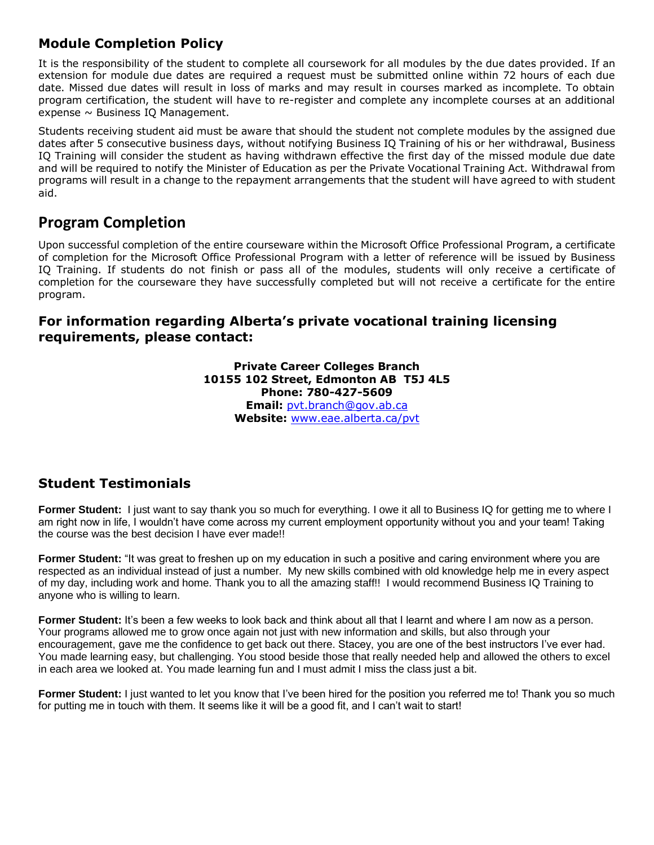# **Module Completion Policy**

It is the responsibility of the student to complete all coursework for all modules by the due dates provided. If an extension for module due dates are required a request must be submitted online within 72 hours of each due date. Missed due dates will result in loss of marks and may result in courses marked as incomplete. To obtain program certification, the student will have to re-register and complete any incomplete courses at an additional expense  $\sim$  Business IQ Management.

Students receiving student aid must be aware that should the student not complete modules by the assigned due dates after 5 consecutive business days, without notifying Business IQ Training of his or her withdrawal, Business IQ Training will consider the student as having withdrawn effective the first day of the missed module due date and will be required to notify the Minister of Education as per the Private Vocational Training Act. Withdrawal from programs will result in a change to the repayment arrangements that the student will have agreed to with student aid.

# **Program Completion**

Upon successful completion of the entire courseware within the Microsoft Office Professional Program, a certificate of completion for the Microsoft Office Professional Program with a letter of reference will be issued by Business IQ Training. If students do not finish or pass all of the modules, students will only receive a certificate of completion for the courseware they have successfully completed but will not receive a certificate for the entire program.

# **For information regarding Alberta's private vocational training licensing requirements, please contact:**

**Private Career Colleges Branch 10155 102 Street, Edmonton AB T5J 4L5 Phone: 780-427-5609 Email:** [pvt.branch@gov.ab.ca](mailto:pvt.branch@gov.ab.ca) **Website:** [www.eae.alberta.ca/pvt](http://www.eae.alberta.ca/pvt)

# **Student Testimonials**

**Former Student:** I just want to say thank you so much for everything. I owe it all to Business IQ for getting me to where I am right now in life, I wouldn't have come across my current employment opportunity without you and your team! Taking the course was the best decision I have ever made!!

**Former Student:** "It was great to freshen up on my education in such a positive and caring environment where you are respected as an individual instead of just a number. My new skills combined with old knowledge help me in every aspect of my day, including work and home. Thank you to all the amazing staff!! I would recommend Business IQ Training to anyone who is willing to learn.

**Former Student:** It's been a few weeks to look back and think about all that I learnt and where I am now as a person. Your programs allowed me to grow once again not just with new information and skills, but also through your encouragement, gave me the confidence to get back out there. Stacey, you are one of the best instructors I've ever had. You made learning easy, but challenging. You stood beside those that really needed help and allowed the others to excel in each area we looked at. You made learning fun and I must admit I miss the class just a bit.

**Former Student:** I just wanted to let you know that I've been hired for the position you referred me to! Thank you so much for putting me in touch with them. It seems like it will be a good fit, and I can't wait to start!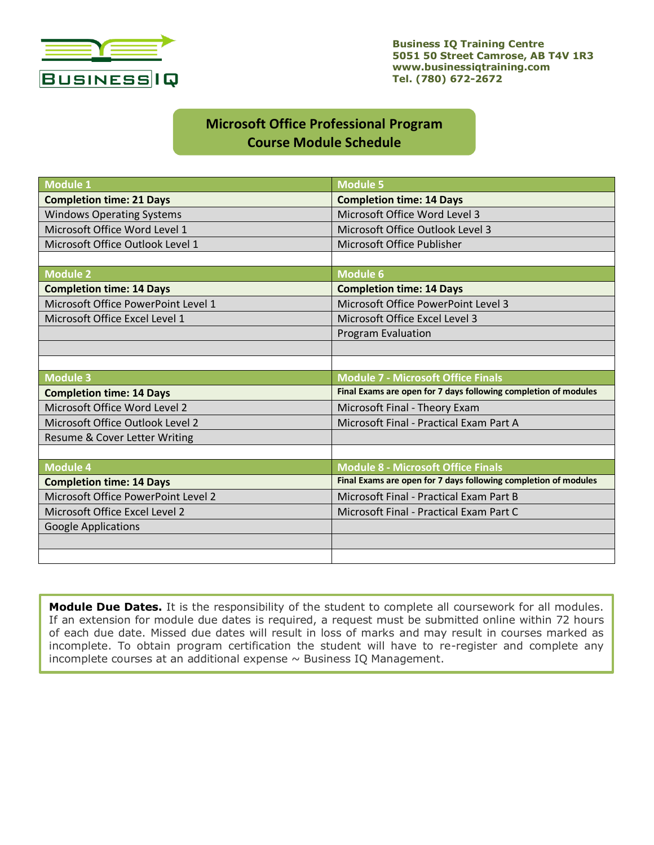

**Business IQ Training Centre 5051 50 Street Camrose, AB T4V 1R3 www.businessiqtraining.com Tel. (780) 672-2672**

# **Microsoft Office Professional Program Course Module Schedule**

| <b>Module 1</b>                     | <b>Module 5</b>                                                 |
|-------------------------------------|-----------------------------------------------------------------|
| <b>Completion time: 21 Days</b>     | <b>Completion time: 14 Days</b>                                 |
| <b>Windows Operating Systems</b>    | Microsoft Office Word Level 3                                   |
| Microsoft Office Word Level 1       | Microsoft Office Outlook Level 3                                |
| Microsoft Office Outlook Level 1    | Microsoft Office Publisher                                      |
|                                     |                                                                 |
| <b>Module 2</b>                     | <b>Module 6</b>                                                 |
| <b>Completion time: 14 Days</b>     | <b>Completion time: 14 Days</b>                                 |
| Microsoft Office PowerPoint Level 1 | <b>Microsoft Office PowerPoint Level 3</b>                      |
| Microsoft Office Excel Level 1      | Microsoft Office Excel Level 3                                  |
|                                     | Program Evaluation                                              |
|                                     |                                                                 |
|                                     |                                                                 |
| <b>Module 3</b>                     | <b>Module 7 - Microsoft Office Finals</b>                       |
| <b>Completion time: 14 Days</b>     | Final Exams are open for 7 days following completion of modules |
| Microsoft Office Word Level 2       | Microsoft Final - Theory Exam                                   |
| Microsoft Office Outlook Level 2    | Microsoft Final - Practical Exam Part A                         |
| Resume & Cover Letter Writing       |                                                                 |
|                                     |                                                                 |
| <b>Module 4</b>                     | <b>Module 8 - Microsoft Office Finals</b>                       |
| <b>Completion time: 14 Days</b>     | Final Exams are open for 7 days following completion of modules |
| Microsoft Office PowerPoint Level 2 | Microsoft Final - Practical Exam Part B                         |
| Microsoft Office Excel Level 2      | Microsoft Final - Practical Exam Part C                         |
| <b>Google Applications</b>          |                                                                 |
|                                     |                                                                 |
|                                     |                                                                 |

**Module Due Dates.** It is the responsibility of the student to complete all coursework for all modules. If an extension for module due dates is required, a request must be submitted online within 72 hours of each due date. Missed due dates will result in loss of marks and may result in courses marked as incomplete. To obtain program certification the student will have to re-register and complete any incomplete courses at an additional expense  $\sim$  Business IQ Management.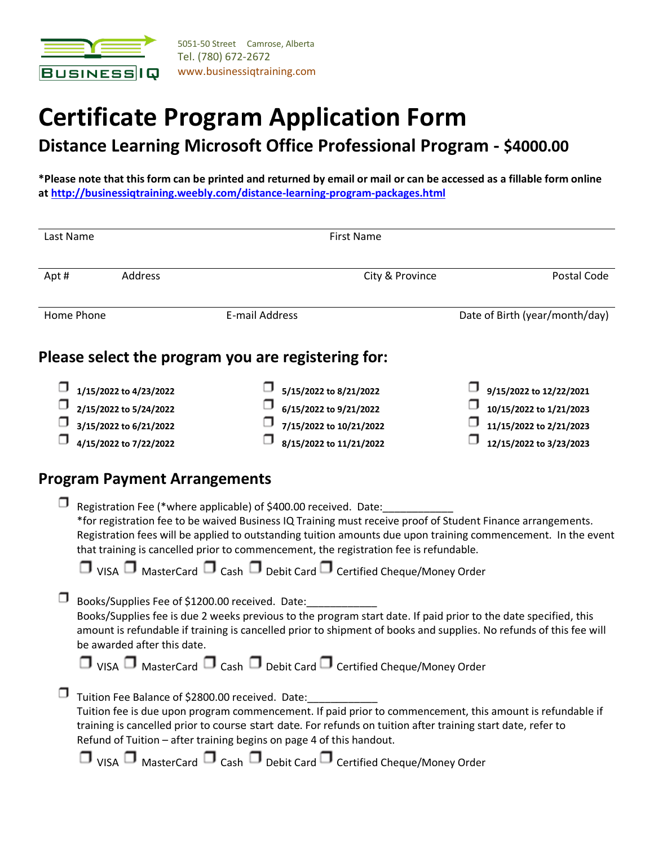

# **Certificate Program Application Form**

**Distance Learning Microsoft Office Professional Program - \$4000.00** 

**\*Please note that this form can be printed and returned by email or mail or can be accessed as a fillable form online a[t http://businessiqtraining.weebly.com/distance-learning-program-packages.html](http://businessiqtraining.weebly.com/distance-learning-program-packages.html)**

| Last Name |                                                                                                      | <b>First Name</b>                                                                                                                                                                                                                                                                                                                                                                                                                                                                            |                 |                                                                                                          |  |  |  |  |
|-----------|------------------------------------------------------------------------------------------------------|----------------------------------------------------------------------------------------------------------------------------------------------------------------------------------------------------------------------------------------------------------------------------------------------------------------------------------------------------------------------------------------------------------------------------------------------------------------------------------------------|-----------------|----------------------------------------------------------------------------------------------------------|--|--|--|--|
| Apt#      | Address                                                                                              |                                                                                                                                                                                                                                                                                                                                                                                                                                                                                              | City & Province |                                                                                                          |  |  |  |  |
|           | Home Phone                                                                                           | <b>E-mail Address</b>                                                                                                                                                                                                                                                                                                                                                                                                                                                                        |                 | Date of Birth (year/month/day)                                                                           |  |  |  |  |
|           |                                                                                                      | Please select the program you are registering for:                                                                                                                                                                                                                                                                                                                                                                                                                                           |                 |                                                                                                          |  |  |  |  |
|           | 1/15/2022 to 4/23/2022<br>2/15/2022 to 5/24/2022<br>3/15/2022 to 6/21/2022<br>4/15/2022 to 7/22/2022 | 5/15/2022 to 8/21/2022<br>6/15/2022 to 9/21/2022<br>7/15/2022 to 10/21/2022<br>8/15/2022 to 11/21/2022                                                                                                                                                                                                                                                                                                                                                                                       |                 | 9/15/2022 to 12/22/2021<br>10/15/2022 to 1/21/2023<br>11/15/2022 to 2/21/2023<br>12/15/2022 to 3/23/2023 |  |  |  |  |
|           | <b>Program Payment Arrangements</b>                                                                  |                                                                                                                                                                                                                                                                                                                                                                                                                                                                                              |                 |                                                                                                          |  |  |  |  |
|           |                                                                                                      | Registration Fee (*where applicable) of \$400.00 received. Date:<br>*for registration fee to be waived Business IQ Training must receive proof of Student Finance arrangements.<br>Registration fees will be applied to outstanding tuition amounts due upon training commencement. In the event<br>that training is cancelled prior to commencement, the registration fee is refundable.<br>$\Box$ VISA $\Box$ MasterCard $\Box$ Cash $\Box$ Debit Card $\Box$ Certified Cheque/Money Order |                 |                                                                                                          |  |  |  |  |
|           | Books/Supplies Fee of \$1200.00 received. Date:<br>be awarded after this date.                       | Books/Supplies fee is due 2 weeks previous to the program start date. If paid prior to the date specified, this<br>amount is refundable if training is cancelled prior to shipment of books and supplies. No refunds of this fee will<br>$\Box$ VISA $\Box$ MasterCard $\Box$ Cash $\Box$ Debit Card $\Box$ Certified Cheque/Money Order                                                                                                                                                     |                 |                                                                                                          |  |  |  |  |
|           | Tuition Fee Balance of \$2800.00 received. Date:                                                     | Tuition fee is due upon program commencement. If paid prior to commencement, this amount is refundable if<br>training is cancelled prior to course start date. For refunds on tuition after training start date, refer to<br>Refund of Tuition - after training begins on page 4 of this handout.<br>$\Box$ VISA $\Box$ MasterCard $\Box$ Cash $\Box$ Debit Card $\Box$ Certified Cheque/Money Order                                                                                         |                 |                                                                                                          |  |  |  |  |